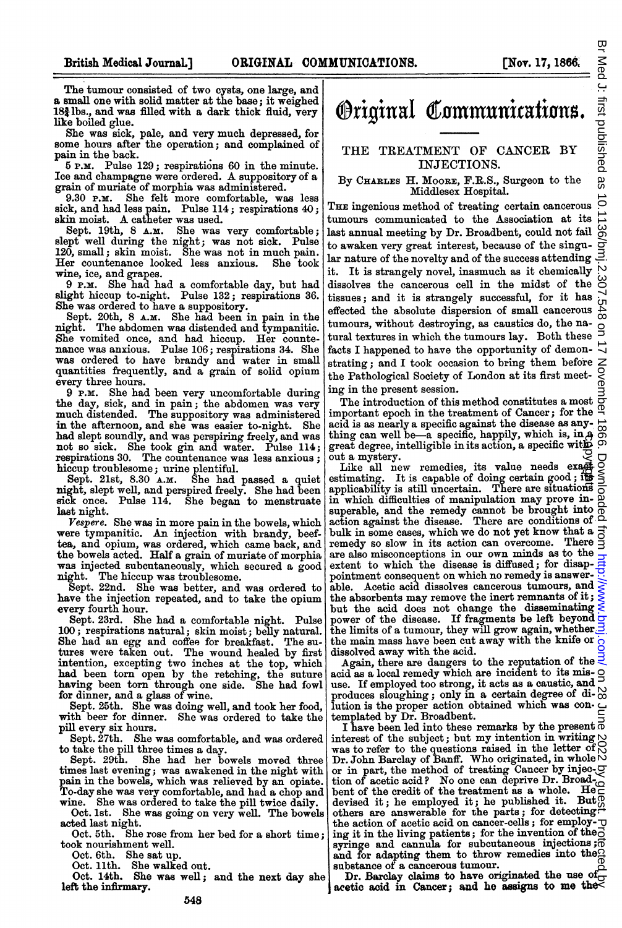The tumour consisted of two cysts, one large, and a small one with solid matter at the base; it weighed 18<sup>3</sup>/1bs., and was filled with a dark thick fluid, very like boiled glue.

She was sick, pale, and very much depressed, for some hours after the operation; and complained of pain in the back.

5 P.m. Pulse 129; respirations 60 in the minute. Ice and champagne were ordered. A suppository of a grain of muriate of morphia was administered.

9.30 P.M. She felt more comfortable, was less sick, and had less pain. Pulse 114; respirations 40; skin moist. A catheter was used.

Sept. 19th, 8 A.M. She was very comfortable; slept well during the night; was not sick. Pulse 120, small; skin moist. She was not in much pain. Her countenance looked less anxious. She took wine, ice, and grapes.

9 P.M. She had had a comfortable day, but had slight hiccup to-night. Pulse 132; respirations 36. She was ordered to have a suppository.

Sept. 20th, 8 A.M. She had been in pain in the night. The abdomen was distended and tympanitic. She vomited once, and had hiccup. Her countenance was anxious. Pulse 106; respirations 34. She was ordered to have brandy and water in small quantities frequently, and a grain of solid opium every three hours.

9 P.M. She had been very uncomfortable during the day, sick, and in pain; the abdomen was very much distended. The suppository was administered in the afternoon, and she was easier to-night. She had slept soundly, and was perspiring freely, and was not so sick. She took gin and water. Pulse 114; respirations 30. The countenance was less anxious; hiccup troublesome; urine plentiful.

Sept. 21st, 8.30 A.M. She had passed a quiet night, slept well, and perspired freely. She had been sick once. Pulse 114. She began to menstruate last night.

Vespere. She was in more pain in the bowels, which were tympanitic. An injection with brandy, beef. tea, and opium, was ordered, which came back, and the bowels acted. Half a grain of muriate of morphia was injected subcutaneously, which secured a good night. The hiccup was troublesome.<br>Sept. 22nd. She was better, and

Sept. 22nd. She was better, and was ordered tc have the injection repeated, and to take the opium every fourth hour.

Sept. 23rd. She had a comfortable night. Pulse 100; respirations natural; skin moist; belly natural. She had an egg and coffee for breakfast. The su. tures were taken out. The wound healed by firsi intention, excepting two inches at the top, which had been torn open by the retching, the suture having been torn through one side. She had fowl for dinner, and a glass of wine.

Sept. 25th. She was doing well, and took her food. with beer for dinner. She was ordered to take the pill every six hours.

Sept. 27th. She was comfortable, and was ordered

to take the pill three times a day.<br>Sept. 29th. She had her bowels moved three times last evening; was awakened in the night witl pain in the bowels, which was relieved by an opiate To-day she was very comfortable, and had a chop an(

wine. She was ordered to take the pill twice daily. Oct. 1st. She was going on very well. The bowels

acted last night. Oct. 5th. She rose from her bed for a short time; took nourishment well.

Oct. 6th. She sat up. Oct. 11th. She walked out.

Oct. 14th. She was well; and the next day sh left the infirmary.

Original Communications.

## THE TREATMENT OF CANCER BY INJECTIONS.

By CHARLES H. MOORE, F.R.S., Surgeon to the Middlesex Hospital. Middlesex Hospital.

THE ingenious method of treating certain cancerous tumours communicated to the Association at its last annual meeting by Dr. Broadbent, could not fail  $\overset{\leftrightarrow}{\mathcal{O}}$ to awaken very great interest, because of the singular nature of the novelty and of the success attending it. It is strangely novel, inasmuch as it chemically  $\sim$ dissolves the cancerous cell in the midst of the  $\mathcal{C}$  tissues; and it is strangely successful, for it has tissues; and it is strangely successful, for it has effected the absolute dispersion of small cancerous tumours, without destroying, as caustics do, the natural textures in which the tumours lay. Both these facts I happened to have the opportunity of demon- $\overrightarrow{\ }$ strating; and I took occasion to bring them before  $\mathsf{\Sigma}$ the Pathological Society of London at its first meeting in the present session.

The introduction of this method constitutes a most  $\overline{Q}$ important epoch in the treatment of Cancer; for the acid is as nearly a specific against the disease as anything can well be—a specific, happily, which is, in a great degree, intelligible in its action, a specific with out a mystery.

Like all new remedies, its value needs exactestimating. It is capable of doing certain good; its<br>applicability is still uncertain. There are situations<br>in which difficulties of manipulation may prove insuperable, and the remedy cannot be brought into action against the disease. There are conditions of bulk in some cases, which we do not yet know that a remedy so slow in its action can overcome. There are also misconceptions in our own minds as to the extent to which the disease is diffused; for disappointment consequent on which no remedy is answerable. Acetic acid dissolves cancerous tumours, and the absorbents may remove the inert remnants of it; but the acid does not change the disseminating power of the disease. If fragments be left beyond the limits of a tumour, they will grow again, whether the main mass have been cut away with the knife or dissolved away with the acid. copyright.

Again, there are dangers to the reputation of the  $\leq$ acid as a local remedy which are incident to its misuse. If employed too strong, it acts as a caustic, and produces sloughing; only in a certain degree of dilution is the proper action obtained which was contemplated by Dr. Broadbent.

I have been led into these remarks by the present  $\overline{\phi}$ interest of the subject; but my intention in writing  $\infty$ was to refer to the questions raised in the letter of Dr. John Barclay of Banff. Who originated, in whole or in part, the method of treating Cancer by injec-tion of acetic acid? No one can deprive Dr. Broad-bent of the credit of the treatment as <sup>a</sup> whole. He devised it; he employed it; he published it. But others are answerable for the parts; for detecting the action of acetic acid on cancer-cells; for employ- $\tau$ ing it in the living patients; for the invention of the syringe and cannula for subcutaneous injections; $\overline{0}$ and for adapting them to throw remedies into the $\tilde{C}$ substance of a cancerous tumour.

Dr. Barclay claims to have originated the use of acetic acid in Cancer; and he assigns to me the

548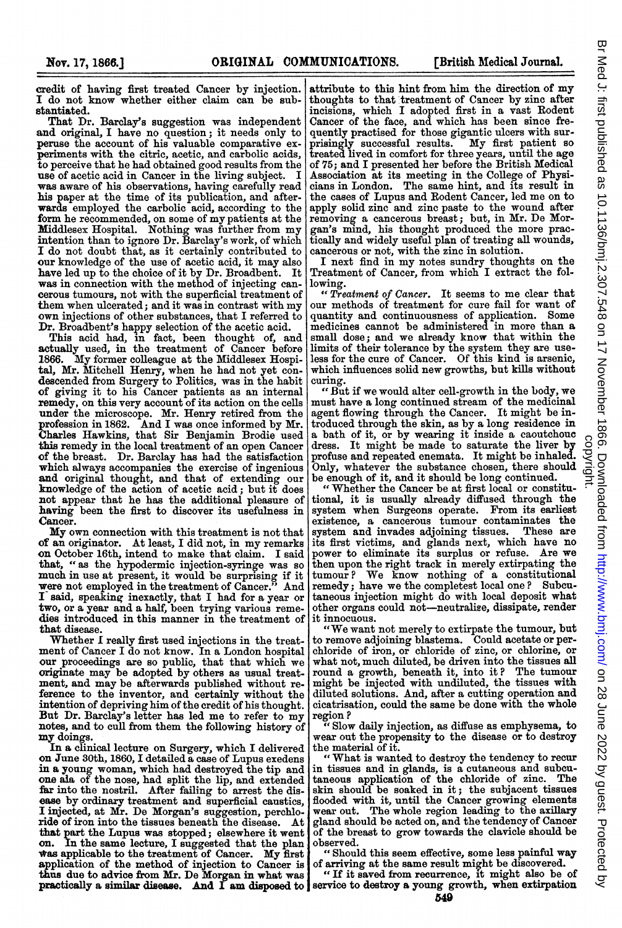credit of having first treated Cancer by injection. I do not know whether either claim can be substantiated.

- -~~~~~~~~~~~~~~~~~~~~~~~~~~~~~~~~~~~~~~~~~~~~~~~~~~~~~~~~~~~~~~~~~~

That Dr. Barclay's suggestion was independent and original, I have no question; it needs only to peruse the account of his valuable comparative experiments with the citric, acetic, and carbolic acids, to perceive that he had obtained good results from the use of acetic acid in Cancer in the living subject. I was aware of his observations, having carefully read his paper at the time of its publication, and afterwards employed the carbolic acid, according to the form he recommended, on some of my patients at the Mffiddlesex Hospital. Nothing was further from my intention than to ignore Dr. Barclay's work, of which I do not doubt that, as it certainly contributed to our knowledge of the use of acetic acid, it may also have led up to the choice of it by Dr. Broadbent. It was in connection with the method of injecting cancerous tumours, not with the superficial treatment of them when ulcerated; and it was in contrast with my own injections of other substances, that <sup>I</sup> referred to Dr. Broadbent's happy selection of the acetic acid.

This acid had, in fact, been thought of, and actually used, in the treatment of Cancer before 1866. My former colleague at the Middlesex Hospital, Mr. Mitchell Henry, when he had not yet con-descended from Surgery to Politics, was in the habit of giving it to his Cancer patients as an internal remedy, on this very account of its action on the cells under the microscope. Mr. Henry retired from the profession in 1862. And <sup>I</sup> was once informed by Mr. Charles Hawkins, that Sir Benjamin Brodie used this remedy in the local treatment of an open Cancer of the breast. Dr. Barelay has had the satisfaction which always accompanies the exercise of ingenious and original thought, and that of extending our knowledge of the action of acetic acid; but it does not appear that he has the additional pleasure of having been the first to discover its usefulness in Cancer.

My own connection with this treatment is not that of an originator. At least, <sup>I</sup> did not, in my remarks on October 16th, intend to make that claim. I said that, "as the hypodermic injection-syringe was so much in use at present, it would be surprising if it were not employed in the treatment of Cancer." And I said, speaking inexactly, that I had for a year or two, or a year and a half, been trying various remedies introduced in this manner in the treatment of that disease.

Whether <sup>I</sup> really first used injections in the treatment of Cancer <sup>I</sup> do not know. In a London hospital our proceedings are so public, that that which we originate may be adopted by others as usual treatment, and may be afterwards published without reference to the inventor, and certainly without the intention of depriving him of the credit of his thought. But Dr. Barclay's letter has led me to refer to my notes, and to cull from them the following history of my doings.

In a clinical lecture on Surgery, which I delivered on June 30th, 1860, 1 detailed a case of Lupus exedens in a young woman, which had destroyed the tip and one ala of the nose, had split the lip, and extended far into the nostril. After failing to arrest the disease by ordinary treatment and superficial caustics, I injected, at Mr. De Morgan's suggestion, perchlo-ride of iron into the tissues beneath the disease. At that part the Lupus was stopped; elsewhere it went on. In the same lecture, I suggested that the plan was applicable to the treatment of Cancer. application of the method of injection to Cancer is thus due to advice from Mr. De Morgan in what was practically a similar disease. And <sup>I</sup> am disposed to

attribute to this hint from him the direction of my thoughts to that treatment of Cancer by zinc after incisions, which I adopted first in a vast Rodent Cancer of the face, and which has been since frequently practised for those gigantic ulcers with surprisingly successful results. My first patient so treated lived in comfort for three years, until the age of 75; and I presented her before the British Medical Association at its meeting in the College of Physicians in London. The same hint, and its result in the cases of Lupus and Rodent Cancer, led me on to apply solid zinc and zinc paste to the wound after removing a cancerous breast; but, in Mr. De Mor-gan's mind, his thought produced the more prac-tically and widely useful plan of treating all wounds, cancerous or not, with the zinc in solution.

<sup>I</sup> next find in my notes sundry thoughts on the Treatment of Cancer, from which I extract the following.

" Treatment of Cancer. It seems to me clear that our methods of treatment for cure fail for want of quantity and continuousness of application. Some medicines cannot be administered in more than a small dose; and we already know that within the limits of their tolerance by the system they are use-less for the cure of Cancer. Of this kind is arsenic, which influences solid new growths, but kills without curing.

" But if we would alter cell-growth in the body, we must have a long continued stream of the medicinal agent flowing through the Cancer. It might be introduced through the skin, as by a long residence in a bath of it, or by wearing it inside a caoutchoue dress. It might be made to saturate the liver by profuse and repeated enemata. It might be inhaled. Only, whatever the substance chosen, there should be enough of it, and it should be long continued.

" Whether the Cancer be at first local or constitutional, it is usually already diffused through the system when Surgeons operate. From its earliest existence, a cancerous tumour contaminates the system and invades adjoining tissues. These are its first victims, and glands next, which have no power to eliminate its surplus or refuse. then upon the right track in merely extirpating the tumour? We know nothing of <sup>a</sup> constitutional remedy; have we the completest local one? Subcutaneous injection might do with local deposit what other organs could not-neutralize, dissipate, render it innocuous.

"We want not merely to extirpate the tumour, but to remove adjoining blastema. Could acetate or perchloride of iron, or chloride of zinc, or chlorine, or what not, much diluted, be driven into the tissues all round a growth, beneath it, into it? The tumour might be injected with undiluted, the tissues with diluted solutions. And, after a cutting operation and cicatrisation, could the same be done with the whole

region ? " Slow daily injection, as diffuse as emphysema, to wear out the propensity to the disease or to destroy the material of it.

" What is wanted to destroy the tendency to recur in tissues and in glands, is a cutaneous and subcu-taneous application of the chloride of zinc. The skin should be soaked in it; the subjacent tissues flooded with it, until the Cancer growing elements wear out. The whole region leading to the axillary gland should be acted on, and the tendency of Cancer of the breast to grow towards the clavicle should be observed.

" Should this seem effective, some less painful way of arriving at the same result might be discovered.

"If it saved from recurrence, it might also be of service to destroy a young growth, when extirpation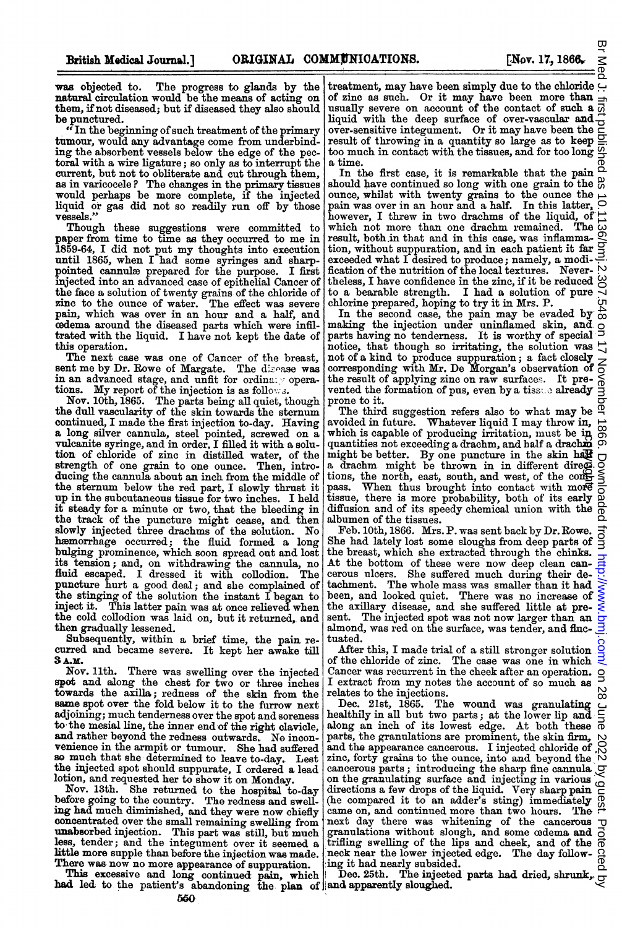Br Mec

was objected to. The progress to glands by the natural circulation would be the means of acting on them, if not diseased; but if diseased they also should be punctured.

" In the beginning of such treatment of the primary tumour, would any advantage come from underbind-ing the absorbent vessels below the edge of the pec toral with a wire ligature; so only as to interrupt the current, but not to obliterate and cut through them, as in vaxicocele ? The changes in the primary tissues would perhaps be more complete, if the injected liquid or gas did not so readily run off by those vessels."

Though these suggestions were committed to paper from time to time as they occurred to me in 1859-64, <sup>I</sup> did not put my thoughts into execution until 1865, when I had some syringes and sharp-<br>pointed cannuls prepared for the purpose. I first injected into an advanced case of epithelial Cancer of the face <sup>a</sup> solution of twenty grains of the chloride of zinc to the ounce of water. The effect was severe zinc to the ounce of water. The effect was severe pain, which was over in an hour and a half, and cedema around the diseased parts which were infiltrated with the liquid. I have not kept the date of

The next case was one of Cancer of the breast, sent me by Dr. Rowe of Margate. The disease was in an advanced stage, and unfit for ordina. operations. My report of the injection is as follows.

Nov. 10th, 1865. The parts being all quiet, though the dull vascularity of the skin towards the sternum continued, <sup>I</sup> made the first injection to-day. Having <sup>a</sup> long silver cannula, steel pointed, screwed on a vulcanite syringe, and in order, I filled it with a solution of chloride of zinc in distilled water, of the strength of one grain to one ounce. Then, introducing the cannula about an inch from the middle of the sternum below the red part, I slowly thrust it up in the subcutaneous tissue for two inches. <sup>I</sup> held it steady for a minute or two, that the bleeding in the track of the puncture might cease, and then slowly injected three drachms of the solution. No hemorrhage occurred; the fluid formed a long bulging prominence, which soon spread out and lost its tension; and, on withdrawing the cannula, no fluid escaped. I dressed it with collodion. The puncture hurt a good deal; and she complained of the stinging of the solution the instant <sup>I</sup> began to inject it. This latter pain was at once relieved when the cold collodion was laid on, but it returned, and then gradually lessened.

Subsequently, within a brief time, the pain recurred and became severe. It kept her awake till 3A.

Nov. 11th. There was swelling over the injected spot and along the chest for two or three inches towards the axilla; redness of the skin from the same spot over the fold below it to the furrow next adjoining; much tenderness over the spot and soreness to the mesial line, the inner end of the right clavicle, and rather beyond the redness outwards. No inconvenience in the armpit or tumour. She had suffered so much that she determined to leave to-day. Lest the injected spot should suppurate, <sup>I</sup> ordered a lead

lotion, and requested her to show it on Monday. before going to the country. The redness and swelllag had much diminished, and they were now chiefly concentrated over the small remaining swelling from unabsorbed injection. This part was still, but much less, tender; and the integument over it seemed a little more supple than before the injection was made.<br>There was now no more appearance of suppuration. There was now no more appearance of suppuration. This excessive and long continued pain, which

had led to the patient's abandoning the plan of and apparently sloughed.

treatment, may have been simply due to the chloride of zinc as such. Or it may have been more than usually severe on account of the contact of such a  $\frac{1}{\alpha}$ <br>liquid with the deep surface of over-vascular and  $\frac{1}{\alpha}$ liquid with the deep surface of over-vascular and over-sensitive integument. Or it may have been the result of throwing in a quantity so large as to keep too much in contact with the tissues, and for too long a time.

In the first case, it is remarkable that the pain  $\tilde{\circ}$ should have continued so long with one grain to the  $\omega$ ounce, whilst with twenty grains to the ounce the pain was over in an hour and a half. In this latter, however, I threw in two drachms of the liquid, of which not more than one drachm remained. The  $\overline{\omega}$ result, both in that and in this case, was inflamma- $@$ tion, without suppuration, and in each patient it far exceeded what I desired to produce; namely, a modi-fication of the nutrition of the local textures. Nevertheless, I have confidence in the zinc, if it be reduced to a bearable strength. I had a solution of pure chlorine prepared, hoping to try it in Mrs. P.

In the second case, the pain may be evaded by  $\frac{1}{60}$ making the injection under uninflamed skin, and parts having no tenderness. It is worthy of special notice, that though so irritating, the solution was not of a kind to produce suppuration; a fact closely corresponding with Mr. De Morgan's observation of the result of applying zinc on raw surfaces. It prevented the formation of pus, even by a tissely already prone to it.

The third suggestion refers also to what may be  $\frac{\alpha}{4}$ avoided in future. Whatever liquid I may throw in, which is capable of producing irritation, must be incomparities might be better. By one puncture in the skin half a drachm might be thrown in in different directions, then might be better. By one puncture in the skin half  $\Box$ a drachm might be thrown in in different directions, the north, east, south, and west, of the com-<br>nass. When thus brought into contact with more When thus brought into contact with more there is more probability, both of its early  $\overline{D}$  issue, there is more probability, both of its early  $\overline{D}$ diffusion and of its speedy chemical union with the

albumen of the tissues.<br>Feb. 10th, 1866. Mrs. P. was sent back by Dr. Rowe. Feb. 10th, 1866. Mrs. P. was sent back by Dr. Rowe. She had lately lost some sloughs from deep parts of the breast, which she extracted through the chinks. At the bottom of these were now deep clean cancerous ulcers. She suffered much during their detachment. The whole mass was smaller than it had been, and looked quiet. There was no increase of the axillary disease, and she suffered little at present. The injected spot was not now larger than an almond, was red on the surface, was tender, and fluctuated.

After this, I made trial of a still stronger solution of the chloride of zinc. The case was one in which Cancer was recurrent in the cheek after an operation. <sup>I</sup> extract from my notes the account of so much as relates to the injections.

Dec. 21st, 1865. The wound was granulating healthily in all but two parts; at the lower lip and along an inch of its lowest edge. At both these  $\bar{\phi}$  parts, the granulations are prominent, the skin firm,  $\Delta$ parts, the granulations are prominent, the skin firm, and the appearance cancerous. I injected chloride of zinc, forty grains to the ounce, into and beyond the cancerous parts; introducing the sharp fine cannula on the granulating surface and injecting in various directions a few drops of the liquid. Very sharp pain (he compared it to an adder's sting) immediately came on, and continued more than two hours. The next day there was whitening of the cancerous granulations without slough, and some cedema and trifling swelling of the lips and cheek, and of the neck near the lower injected edge. The day following it had nearly subsided.

g it had nearly subsucu.<br>Dec. 25th. The injected parts had dried, shrunk, g